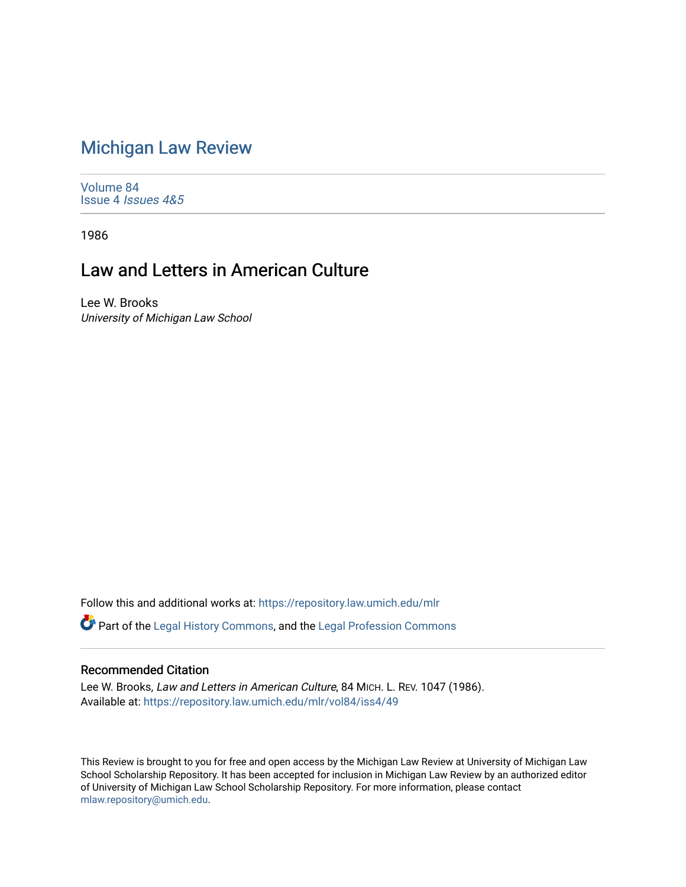## [Michigan Law Review](https://repository.law.umich.edu/mlr)

[Volume 84](https://repository.law.umich.edu/mlr/vol84) Issue 4 [Issues 4&5](https://repository.law.umich.edu/mlr/vol84/iss4) 

1986

## Law and Letters in American Culture

Lee W. Brooks University of Michigan Law School

Follow this and additional works at: [https://repository.law.umich.edu/mlr](https://repository.law.umich.edu/mlr?utm_source=repository.law.umich.edu%2Fmlr%2Fvol84%2Fiss4%2F49&utm_medium=PDF&utm_campaign=PDFCoverPages) 

Part of the [Legal History Commons](http://network.bepress.com/hgg/discipline/904?utm_source=repository.law.umich.edu%2Fmlr%2Fvol84%2Fiss4%2F49&utm_medium=PDF&utm_campaign=PDFCoverPages), and the [Legal Profession Commons](http://network.bepress.com/hgg/discipline/1075?utm_source=repository.law.umich.edu%2Fmlr%2Fvol84%2Fiss4%2F49&utm_medium=PDF&utm_campaign=PDFCoverPages)

## Recommended Citation

Lee W. Brooks, Law and Letters in American Culture, 84 MICH. L. REV. 1047 (1986). Available at: [https://repository.law.umich.edu/mlr/vol84/iss4/49](https://repository.law.umich.edu/mlr/vol84/iss4/49?utm_source=repository.law.umich.edu%2Fmlr%2Fvol84%2Fiss4%2F49&utm_medium=PDF&utm_campaign=PDFCoverPages) 

This Review is brought to you for free and open access by the Michigan Law Review at University of Michigan Law School Scholarship Repository. It has been accepted for inclusion in Michigan Law Review by an authorized editor of University of Michigan Law School Scholarship Repository. For more information, please contact [mlaw.repository@umich.edu.](mailto:mlaw.repository@umich.edu)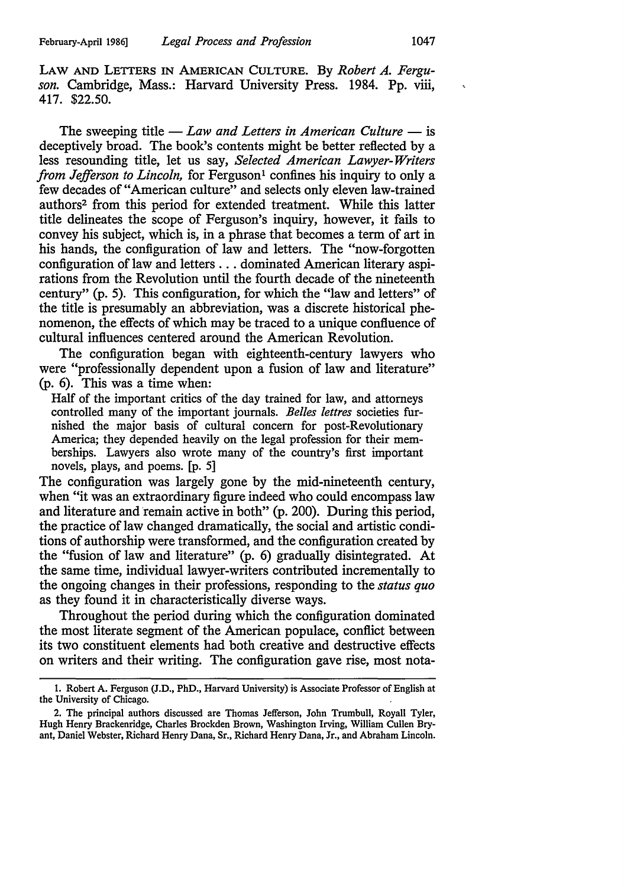LAW AND LETTERS IN AMERICAN CULTURE. By *Robert A. Ferguson.* Cambridge, Mass.: Harvard University Press. 1984. Pp. viii, 417. \$22.50.

The sweeping title - *Law and Letters in American Culture* - is deceptively broad. The book's contents might be better reflected by a less resounding title, let us say, *Selected American Lawyer-Writers from Jefferson to Lincoln*, for Ferguson<sup>1</sup> confines his inquiry to only a few decades of "American culture" and selects only eleven law-trained authors2 from this period for extended treatment. While this latter title delineates the scope of Ferguson's inquiry, however, it fails to convey his subject, which is, in a phrase that becomes a term of art in his hands, the configuration of law and letters. The "now-forgotten configuration of law and letters ... dominated American literary aspirations from the Revolution until the fourth decade of the nineteenth century" (p. 5). This configuration, for which the "law and letters" of the title is presumably an abbreviation, was a discrete historical phenomenon, the effects of which may be traced to a unique confluence of cultural influences centered around the American Revolution.

The configuration began with eighteenth-century lawyers who were "professionally dependent upon a fusion of law and literature" (p. 6). This was a time when:

Half of the important critics of the day trained for law, and attorneys controlled many of the important journals. *Belles lettres* societies furnished the major basis of cultural concern for post-Revolutionary America; they depended heavily on the legal profession for their memberships. Lawyers also wrote many of the country's first important novels, plays, and poems. [p. 5]

The configuration was largely gone by the mid-nineteenth century, when "it was an extraordinary figure indeed who could encompass law and literature and remain active in both" (p. 200). During this period, the practice of law changed dramatically, the social and artistic conditions of authorship were transformed, and the configuration created by the "fusion of law and literature" (p. 6) gradually disintegrated. At the same time, individual lawyer-writers contributed incrementally to the ongoing changes in their professions, responding to the *status quo*  as they found it in characteristically diverse ways.

Throughout the period during which the configuration dominated the most literate segment of the American populace, conflict between its two constituent elements had both creative and destructive effects on writers and their writing. The configuration gave rise, most nota-

<sup>1.</sup> Robert A. Ferguson (J.D., PhD., Harvard University) is Associate Professor of English at the University of Chicago.

<sup>2.</sup> The principal authors discussed are Thomas Jefferson, John Trumbull, Royall Tyler, Hugh Henry Brackenridge, Charles Brockden Brown, Washington Irving, William Cullen Bryant, Daniel Webster, Richard Henry Dana, Sr., Richard Henry Dana, Jr., and Abraham Lincoln.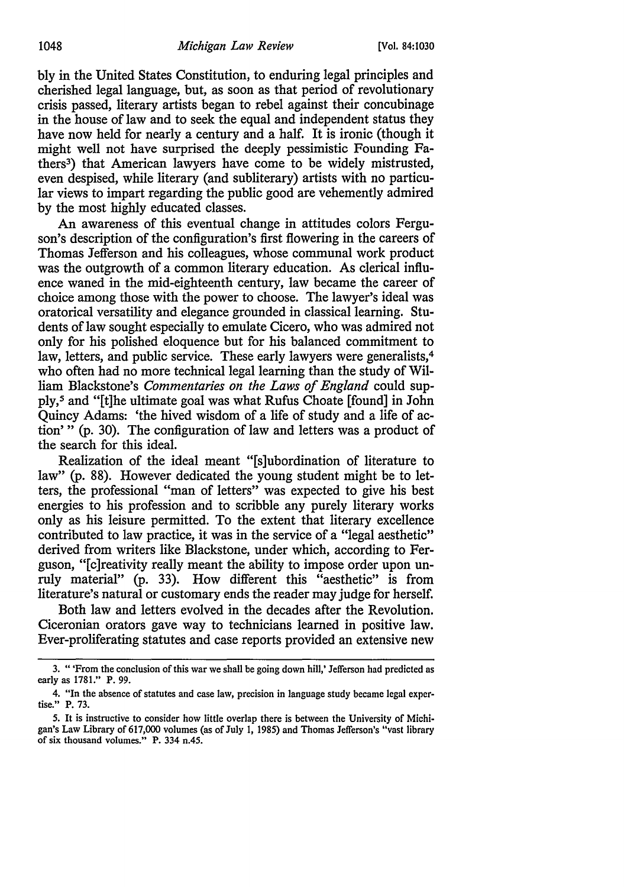bly in the United States Constitution, to enduring legal principles and cherished legal language, but, as soon as that period of revolutionary crisis passed, literary artists began to rebel against their concubinage in the house of law and to seek the equal and independent status they have now held for nearly a century and a half. It is ironic (though it might well not have surprised the deeply pessimistic Founding Fathers3) that American lawyers have come to be widely mistrusted, even despised, while literary (and subliterary) artists with no particular views to impart regarding the public good are vehemently admired by the most highly educated classes.

An awareness of this eventual change in attitudes colors Ferguson's description of the configuration's first flowering in the careers of Thomas Jefferson and his colleagues, whose communal work product was the outgrowth of a common literary education. As clerical influence waned in the mid-eighteenth century, law became the career of choice among those with the power to choose. The lawyer's ideal was oratorical versatility and elegance grounded in classical learning. Students of law sought especially to emulate Cicero, who was admired not only for his polished eloquence but for his balanced commitment to law, letters, and public service. These early lawyers were generalists,<sup>4</sup> who often had no more technical legal learning than the study of William Blackstone's *Commentaries on the Laws of England* could supply, 5 and "[t]he ultimate goal was what Rufus Choate [found] in John Quincy Adams: 'the hived wisdom of a life of study and a life of action' " (p. 30). The configuration of law and letters was a product of the search for this ideal.

Realization of the ideal meant "[s]ubordination of literature to law" (p. 88). However dedicated the young student might be to letters, the professional "man of letters" was expected to give his best energies to his profession and to scribble any purely literary works only as his leisure permitted. To the extent that literary excellence contributed to law practice, it was in the service of a "legal aesthetic" derived from writers like Blackstone, under which, according to Ferguson, "[c]reativity really meant the ability to impose order upon unruly material" (p. 33). How different this "aesthetic" is from literature's natural or customary ends the reader may judge for herself.

Both law and letters evolved in the decades after the Revolution. Ciceronian orators gave way to technicians learned in positive law. Ever-proliferating statutes and case reports provided an extensive new

<sup>3. &</sup>quot; 'From the conclusion of this war we shall be going down hill,' Jefferson had predicted as early as 1781." P. 99.

<sup>4. &</sup>quot;In the absence of statutes and case law, precision in language study became legal expertise." P. 73.

*<sup>5.</sup>* It is instructive to consider how little overlap there is between the University of Michigan's Law Library of 617,000 volumes (as of July 1, 1985) and Thomas Jefferson's "vast library of six thousand volumes." P. 334 n.45.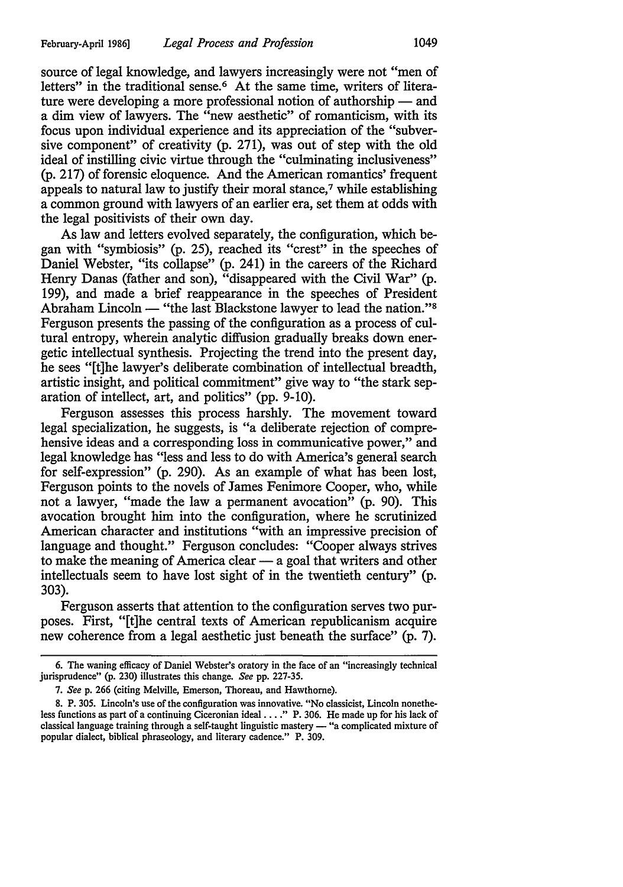source of legal knowledge, and lawyers increasingly were not "men of letters" in the traditional sense.<sup>6</sup> At the same time, writers of literature were developing a more professional notion of authorship  $-$  and a dim view of lawyers. The "new aesthetic" of romanticism, with its focus upon individual experience and its appreciation of the "subversive component" of creativity (p. 271), was out of step with the old ideal of instilling civic virtue through the "culminating inclusiveness" (p. 217) of forensic eloquence. And the American romantics' frequent appeals to natural law to justify their moral stance,7 while establishing a common ground with lawyers of an earlier era, set them at odds with the legal positivists of their own day.

As law and letters evolved separately, the configuration, which began with "symbiosis" (p. 25), reached its "crest" in the speeches of Daniel Webster, "its collapse" (p. 241) in the careers of the Richard Henry Danas (father and son), "disappeared with the Civil War" (p. 199), and made a brief reappearance in the speeches of President Abraham Lincoln - "the last Blackstone lawyer to lead the nation."<sup>8</sup> Ferguson presents the passing of the configuration as a process of cultural entropy, wherein analytic diffusion gradually breaks down energetic intellectual synthesis. Projecting the trend into the present day, he sees "[t]he lawyer's deliberate combination of intellectual breadth, artistic insight, and political commitment" give way to "the stark separation of intellect, art, and politics" (pp. 9-10).

Ferguson assesses this process harshly. The movement toward legal specialization, he suggests, is "a deliberate rejection of comprehensive ideas and a corresponding loss in communicative power," and legal knowledge has "less and less to do with America's general search for self-expression" (p. 290). As an example of what has been lost, Ferguson points to the novels of James Fenimore Cooper, who, while not a lawyer, "made the law a permanent avocation" (p. 90). This avocation brought him into the configuration, where he scrutinized American character and institutions "with an impressive precision of language and thought." Ferguson concludes: "Cooper always strives to make the meaning of America clear  $-$  a goal that writers and other intellectuals seem to have lost sight of in the twentieth century" (p. 303).

Ferguson asserts that attention to the configuration serves two purposes. First, "[t]he central texts of American republicanism acquire new coherence from a legal aesthetic just beneath the surface" (p. 7).

<sup>6.</sup> The waning efficacy of Daniel Webster's oratory in the face of an "increasingly technical jurisprudence" (p. 230) illustrates this change. *See* pp. 227-35.

<sup>7.</sup> *Seep.* 266 (citing Melville, Emerson, Thoreau, and Hawthorne).

<sup>8.</sup> P. 305. Lincoln's use of the configuration was innovative. "No classicist, Lincoln nonetheless functions as part of a continuing Ciceronian ideal .... " P. 306. He made up for his lack of classical language training through a self-taught linguistic mastery - "a complicated mixture of popular dialect, biblical phraseology, and literary cadence." P. 309.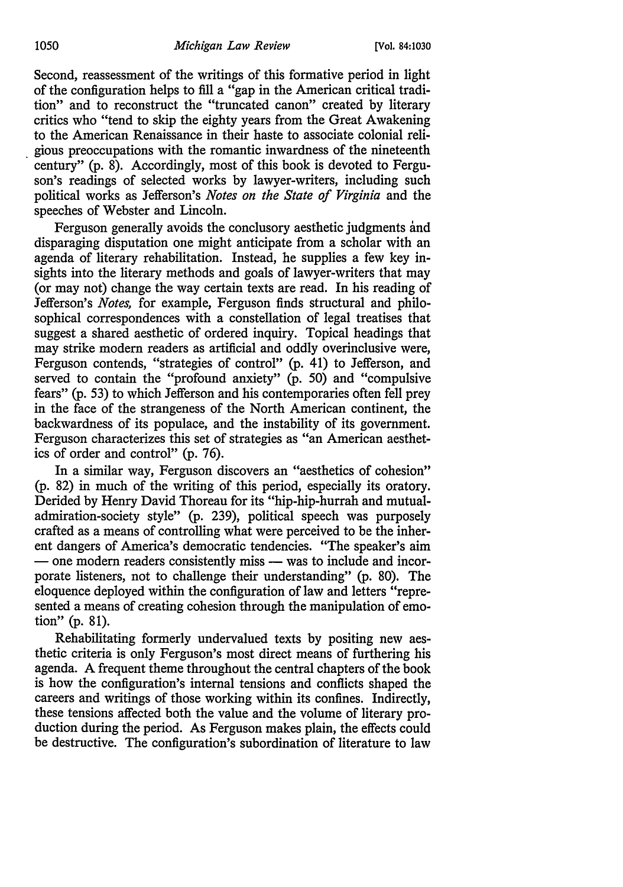Second, reassessment of the writings of this formative period in light of the configuration helps to fill a "gap in the American critical tradition" and to reconstruct the "truncated canon" created by literary critics who "tend to skip the eighty years from the Great Awakening to the American Renaissance in their haste to associate colonial reli- . gious preoccupations with the romantic inwardness of the nineteenth century" (p. 8). Accordingly, most of this book is devoted to Ferguson's readings of selected works by lawyer-writers, including such political works as Jefferson's *Notes on the State of Virginia* and the speeches of Webster and Lincoln.

Ferguson generally avoids the conclusory aesthetic judgments and disparaging disputation one might anticipate from a scholar with an agenda of literary rehabilitation. Instead, he supplies a few key insights into the literary methods and goals of lawyer-writers that may (or may not) change the way certain texts are read. In his reading of Jefferson's *Notes,* for example, Ferguson finds structural and philosophical correspondences with a constellation of legal treatises that suggest a shared aesthetic of ordered inquiry. Topical headings that may strike modern readers as artificial and oddly overinclusive were, Ferguson contends, "strategies of control" (p. 41) to Jefferson, and served to contain the "profound anxiety"  $(p. 50)$  and "compulsive fears" (p. 53) to which Jefferson and his contemporaries often fell prey in the face of the strangeness of the North American continent, the backwardness of its populace, and the instability of its government. Ferguson characterizes this set of strategies as "an American aesthetics of order and control" (p. 76).

In a similar way, Ferguson discovers an "aesthetics of cohesion" (p. 82) in much of the writing of this period, especially its oratory. Derided by Henry David Thoreau for its "hip-hip-hurrah and mutualadmiration-society style" (p. 239), political speech was purposely crafted as a means of controlling what were perceived to be the inherent dangers of America's democratic tendencies. "The speaker's aim - one modern readers consistently miss - was to include and incorporate listeners, not to challenge their understanding" (p. 80). The eloquence deployed within the configuration of law and letters "represented a means of creating cohesion through the manipulation of emotion" (p. 81).

Rehabilitating formerly undervalued texts by positing new aesthetic criteria is only Ferguson's most direct means of furthering his agenda. A frequent theme throughout the central chapters of the book is how the configuration's internal tensions and conflicts shaped the careers and writings of those working within its confines. Indirectly, these tensions affected both the value and the volume of literary production during the period. As Ferguson makes plain, the effects could be destructive. The configuration's subordination of literature to law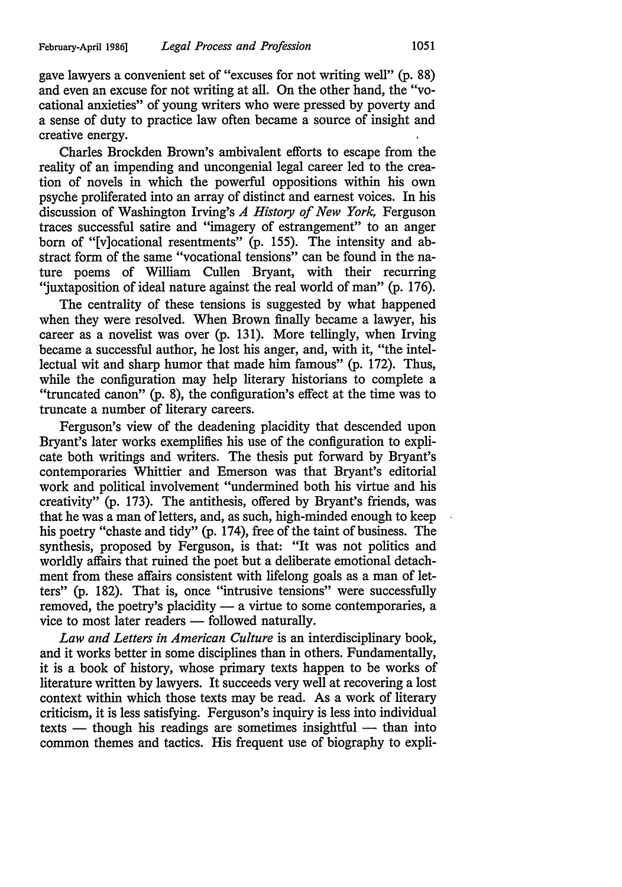gave lawyers a convenient set of "excuses for not writing well" (p. 88) and even an excuse for not writing at all. On the other hand, the "vocational anxieties" of young writers who were pressed by poverty and a sense of duty to practice law often became a source of insight and creative energy.

Charles Brockden Brown's ambivalent efforts to escape from the reality of an impending and uncongenial legal career led to the creation of novels in which the powerful oppositions within his own psyche proliferated into an array of distinct and earnest voices. In his discussion of Washington Irving's *A History of New York,* Ferguson traces successful satire and "imagery of estrangement" to an anger born of "[v]ocational resentments" (p. 155). The intensity and abstract form of the same "vocational tensions" can be found in the nature poems of William Cullen Bryant, with their recurring "juxtaposition of ideal nature against the real world of man" (p. 176).

The centrality of these tensions is suggested by what happened when they were resolved. When Brown finally became a lawyer, his career as a novelist was over (p. 131). More tellingly, when Irving became a successful author, he lost his anger, and, with it, "the intellectual wit and sharp humor that made him famous" (p. 172). Thus, while the configuration may help literary historians to complete a "truncated canon" (p. 8), the configuration's effect at the time was to truncate a number of literary careers.

Ferguson's view of the deadening placidity that descended upon Bryant's later works exemplifies his use of the configuration to explicate both writings and writers. The thesis put forward by Bryant's contemporaries Whittier and Emerson was that Bryant's editorial work and political involvement "undermined both his virtue and his creativity" (p. 173). The antithesis, offered by Bryant's friends, was that he was a man of letters, and, as such, high-minded enough to keep his poetry "chaste and tidy" (p. 174), free of the taint of business. The synthesis, proposed by Ferguson, is that: "It was not politics and worldly affairs that ruined the poet but a deliberate emotional detachment from these affairs consistent with lifelong goals as a man of letters" (p. 182). That is, once "intrusive tensions" were successfully removed, the poetry's placidity  $-$  a virtue to some contemporaries, a vice to most later readers — followed naturally.

*Law and Letters in American Culture* is an interdisciplinary book, and it works better in some disciplines than in others. Fundamentally, it is a book of history, whose primary texts happen to be works of literature written by lawyers. It succeeds very well at recovering a lost context within which those texts may be read. As a work of literary criticism, it is less satisfying. Ferguson's inquiry is less into individual  $textes = though his readings are sometimes insightful - than into$ common themes and tactics. His frequent use of biography to expli